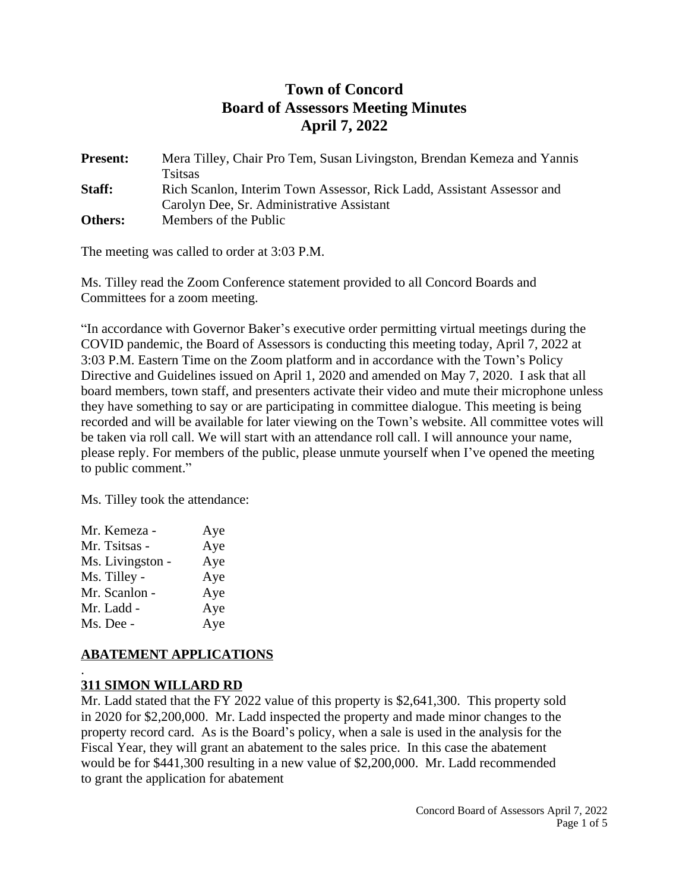# **Town of Concord Board of Assessors Meeting Minutes April 7, 2022**

**Present:** Mera Tilley, Chair Pro Tem, Susan Livingston, Brendan Kemeza and Yannis **Tsitsas Staff:** Rich Scanlon, Interim Town Assessor, Rick Ladd, Assistant Assessor and Carolyn Dee, Sr. Administrative Assistant **Others:** Members of the Public

The meeting was called to order at 3:03 P.M.

Ms. Tilley read the Zoom Conference statement provided to all Concord Boards and Committees for a zoom meeting.

"In accordance with Governor Baker's executive order permitting virtual meetings during the COVID pandemic, the Board of Assessors is conducting this meeting today, April 7, 2022 at 3:03 P.M. Eastern Time on the Zoom platform and in accordance with the Town's Policy Directive and Guidelines issued on April 1, 2020 and amended on May 7, 2020. I ask that all board members, town staff, and presenters activate their video and mute their microphone unless they have something to say or are participating in committee dialogue. This meeting is being recorded and will be available for later viewing on the Town's website. All committee votes will be taken via roll call. We will start with an attendance roll call. I will announce your name, please reply. For members of the public, please unmute yourself when I've opened the meeting to public comment."

Ms. Tilley took the attendance:

| Mr. Kemeza -     | Aye |
|------------------|-----|
| Mr. Tsitsas -    | Aye |
| Ms. Livingston - | Aye |
| Ms. Tilley -     | Aye |
| Mr. Scanlon -    | Aye |
| Mr. Ladd -       | Aye |
| Ms. Dee -        | Aye |
|                  |     |

# **ABATEMENT APPLICATIONS**

#### . **311 SIMON WILLARD RD**

Mr. Ladd stated that the FY 2022 value of this property is \$2,641,300. This property sold in 2020 for \$2,200,000. Mr. Ladd inspected the property and made minor changes to the property record card. As is the Board's policy, when a sale is used in the analysis for the Fiscal Year, they will grant an abatement to the sales price. In this case the abatement would be for \$441,300 resulting in a new value of \$2,200,000. Mr. Ladd recommended to grant the application for abatement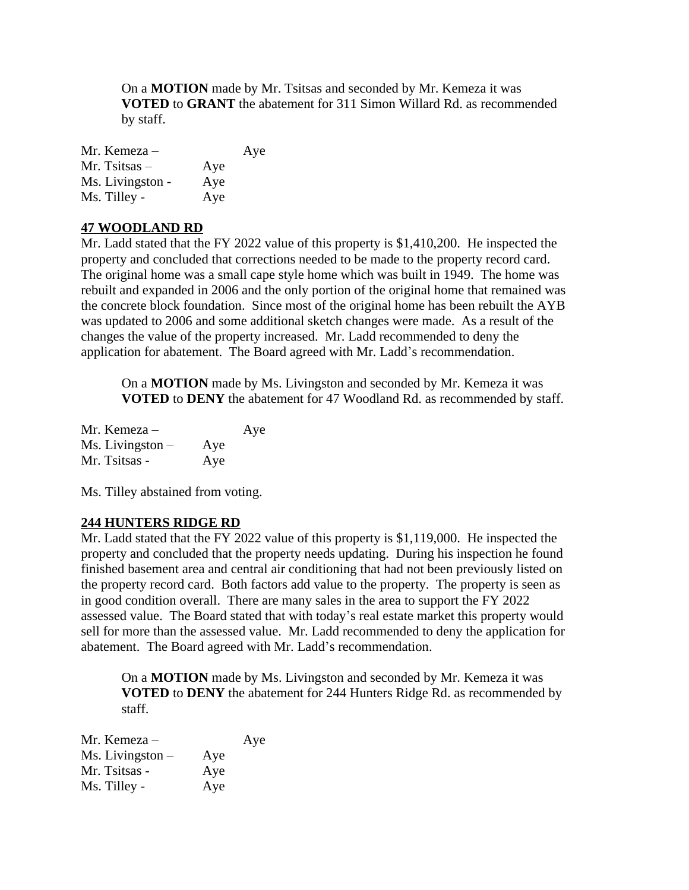On a **MOTION** made by Mr. Tsitsas and seconded by Mr. Kemeza it was **VOTED** to **GRANT** the abatement for 311 Simon Willard Rd. as recommended by staff.

| Mr. Kemeza –     |     | Aye |
|------------------|-----|-----|
| Mr. Tsitsas $-$  | Aye |     |
| Ms. Livingston - | Aye |     |
| Ms. Tilley -     | Aye |     |

#### **47 WOODLAND RD**

Mr. Ladd stated that the FY 2022 value of this property is \$1,410,200. He inspected the property and concluded that corrections needed to be made to the property record card. The original home was a small cape style home which was built in 1949. The home was rebuilt and expanded in 2006 and the only portion of the original home that remained was the concrete block foundation. Since most of the original home has been rebuilt the AYB was updated to 2006 and some additional sketch changes were made. As a result of the changes the value of the property increased. Mr. Ladd recommended to deny the application for abatement. The Board agreed with Mr. Ladd's recommendation.

On a **MOTION** made by Ms. Livingston and seconded by Mr. Kemeza it was **VOTED** to **DENY** the abatement for 47 Woodland Rd. as recommended by staff.

| Mr. Kemeza –       |     | Aye |
|--------------------|-----|-----|
| $Ms. Livingston -$ | Aye |     |
| Mr. Tsitsas -      | Aye |     |

Ms. Tilley abstained from voting.

# **244 HUNTERS RIDGE RD**

Mr. Ladd stated that the FY 2022 value of this property is \$1,119,000. He inspected the property and concluded that the property needs updating. During his inspection he found finished basement area and central air conditioning that had not been previously listed on the property record card. Both factors add value to the property. The property is seen as in good condition overall. There are many sales in the area to support the FY 2022 assessed value. The Board stated that with today's real estate market this property would sell for more than the assessed value. Mr. Ladd recommended to deny the application for abatement. The Board agreed with Mr. Ladd's recommendation.

On a **MOTION** made by Ms. Livingston and seconded by Mr. Kemeza it was **VOTED** to **DENY** the abatement for 244 Hunters Ridge Rd. as recommended by staff.

| Mr. Kemeza –       |     | Aye |
|--------------------|-----|-----|
| $Ms. Livingston -$ | Aye |     |
| Mr. Tsitsas -      | Aye |     |
| Ms. Tilley -       | Aye |     |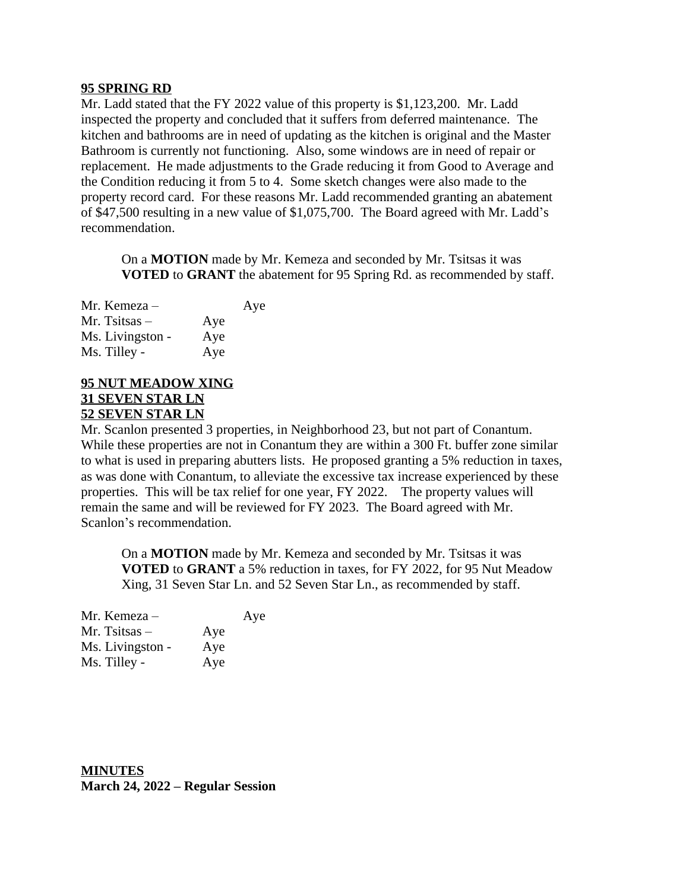#### **95 SPRING RD**

Mr. Ladd stated that the FY 2022 value of this property is \$1,123,200. Mr. Ladd inspected the property and concluded that it suffers from deferred maintenance. The kitchen and bathrooms are in need of updating as the kitchen is original and the Master Bathroom is currently not functioning. Also, some windows are in need of repair or replacement. He made adjustments to the Grade reducing it from Good to Average and the Condition reducing it from 5 to 4. Some sketch changes were also made to the property record card. For these reasons Mr. Ladd recommended granting an abatement of \$47,500 resulting in a new value of \$1,075,700. The Board agreed with Mr. Ladd's recommendation.

On a **MOTION** made by Mr. Kemeza and seconded by Mr. Tsitsas it was **VOTED** to **GRANT** the abatement for 95 Spring Rd. as recommended by staff.

| Mr. Kemeza –     |     | Aye |
|------------------|-----|-----|
| Mr. Tsitsas $-$  | Aye |     |
| Ms. Livingston - | Aye |     |
| Ms. Tilley -     | Aye |     |

#### **95 NUT MEADOW XING 31 SEVEN STAR LN 52 SEVEN STAR LN**

Mr. Scanlon presented 3 properties, in Neighborhood 23, but not part of Conantum. While these properties are not in Conantum they are within a 300 Ft. buffer zone similar to what is used in preparing abutters lists. He proposed granting a 5% reduction in taxes, as was done with Conantum, to alleviate the excessive tax increase experienced by these properties. This will be tax relief for one year, FY 2022. The property values will remain the same and will be reviewed for FY 2023. The Board agreed with Mr. Scanlon's recommendation.

On a **MOTION** made by Mr. Kemeza and seconded by Mr. Tsitsas it was **VOTED** to **GRANT** a 5% reduction in taxes, for FY 2022, for 95 Nut Meadow Xing, 31 Seven Star Ln. and 52 Seven Star Ln., as recommended by staff.

| Mr. Kemeza –     |     | Aye |
|------------------|-----|-----|
| Mr. Tsitsas –    | Aye |     |
| Ms. Livingston - | Aye |     |
| Ms. Tilley -     | Aye |     |

**MINUTES March 24, 2022 – Regular Session**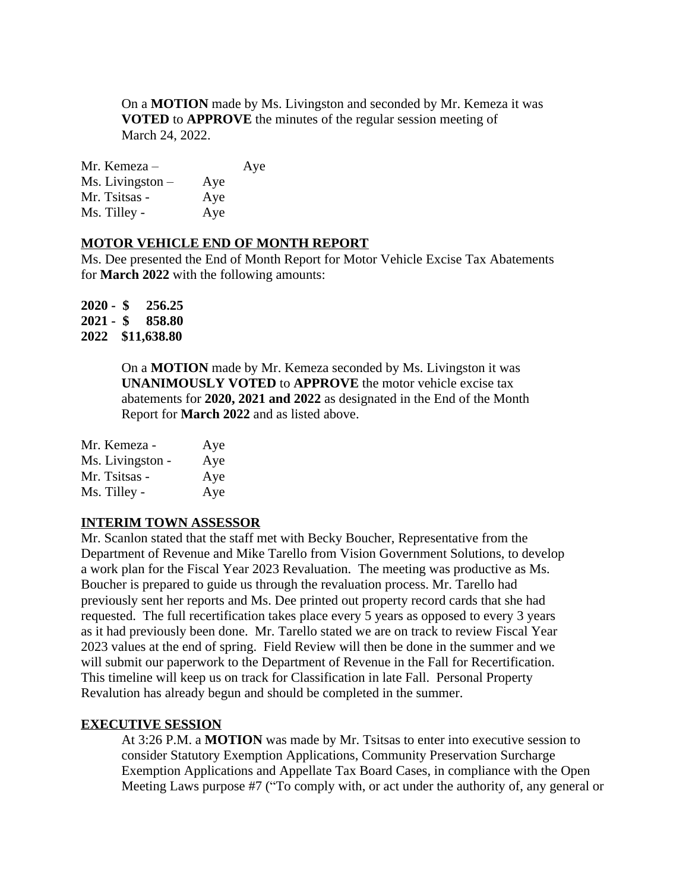On a **MOTION** made by Ms. Livingston and seconded by Mr. Kemeza it was **VOTED** to **APPROVE** the minutes of the regular session meeting of March 24, 2022.

| Mr. Kemeza –       |     | Aye |
|--------------------|-----|-----|
| $Ms. Livingston -$ | Aye |     |
| Mr. Tsitsas -      | Aye |     |
| Ms. Tilley -       | Aye |     |

#### **MOTOR VEHICLE END OF MONTH REPORT**

Ms. Dee presented the End of Month Report for Motor Vehicle Excise Tax Abatements for **March 2022** with the following amounts:

| $2020 -$ | S  | 256.25      |
|----------|----|-------------|
| $2021 -$ | \$ | 858.80      |
| 2022     |    | \$11,638.80 |

On a **MOTION** made by Mr. Kemeza seconded by Ms. Livingston it was **UNANIMOUSLY VOTED** to **APPROVE** the motor vehicle excise tax abatements for **2020, 2021 and 2022** as designated in the End of the Month Report for **March 2022** and as listed above.

| Mr. Kemeza -     | Aye |
|------------------|-----|
| Ms. Livingston - | Aye |
| Mr. Tsitsas -    | Aye |
| Ms. Tilley -     | Aye |

# **INTERIM TOWN ASSESSOR**

Mr. Scanlon stated that the staff met with Becky Boucher, Representative from the Department of Revenue and Mike Tarello from Vision Government Solutions, to develop a work plan for the Fiscal Year 2023 Revaluation. The meeting was productive as Ms. Boucher is prepared to guide us through the revaluation process. Mr. Tarello had previously sent her reports and Ms. Dee printed out property record cards that she had requested. The full recertification takes place every 5 years as opposed to every 3 years as it had previously been done. Mr. Tarello stated we are on track to review Fiscal Year 2023 values at the end of spring. Field Review will then be done in the summer and we will submit our paperwork to the Department of Revenue in the Fall for Recertification. This timeline will keep us on track for Classification in late Fall. Personal Property Revalution has already begun and should be completed in the summer.

#### **EXECUTIVE SESSION**

At 3:26 P.M. a **MOTION** was made by Mr. Tsitsas to enter into executive session to consider Statutory Exemption Applications, Community Preservation Surcharge Exemption Applications and Appellate Tax Board Cases, in compliance with the Open Meeting Laws purpose #7 ("To comply with, or act under the authority of, any general or